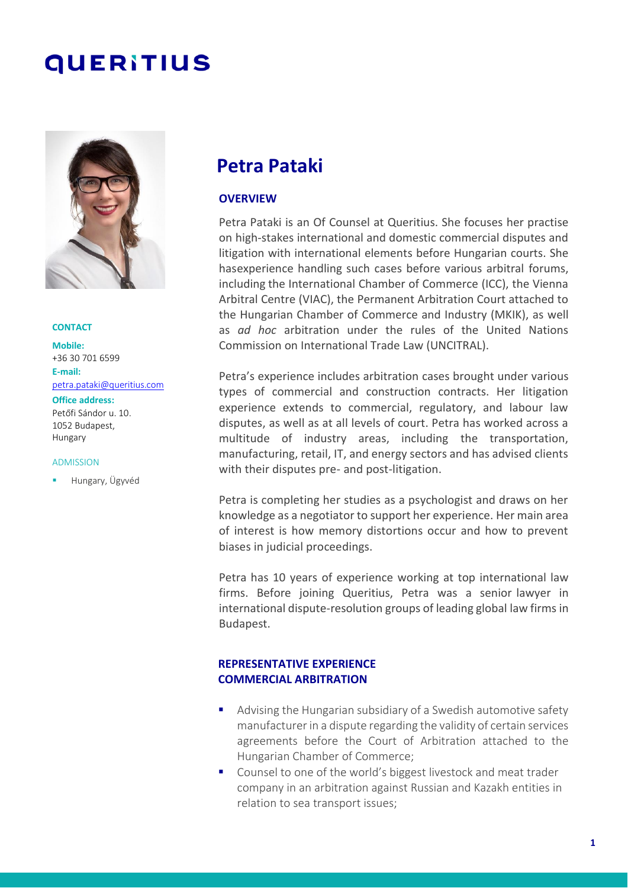# **QUERITIUS**



#### **CONTACT**

**Mobile:** +36 30 701 6599 **E-mail:** [petra.pataki@queritius.com](mailto:petra.pataki@queritius.com)

**Office address:**

Petőfi Sándor u. 10. 1052 Budapest, Hungary

#### ADMISSION

▪ Hungary, Ügyvéd

# **Petra Pataki**

#### **OVERVIEW**

Petra Pataki is an Of Counsel at Queritius. She focuses her practise on high-stakes international and domestic commercial disputes and litigation with international elements before Hungarian courts. She hasexperience handling such cases before various arbitral forums, including the International Chamber of Commerce (ICC), the Vienna Arbitral Centre (VIAC), the Permanent Arbitration Court attached to the Hungarian Chamber of Commerce and Industry (MKIK), as well as *ad hoc* arbitration under the rules of the United Nations Commission on International Trade Law (UNCITRAL).

Petra's experience includes arbitration cases brought under various types of commercial and construction contracts. Her litigation experience extends to commercial, regulatory, and labour law disputes, as well as at all levels of court. Petra has worked across a multitude of industry areas, including the transportation, manufacturing, retail, IT, and energy sectors and has advised clients with their disputes pre- and post-litigation.

Petra is completing her studies as a psychologist and draws on her knowledge as a negotiator to support her experience. Her main area of interest is how memory distortions occur and how to prevent biases in judicial proceedings.

Petra has 10 years of experience working at top international law firms. Before joining Queritius, Petra was a senior lawyer in international dispute-resolution groups of leading global law firms in Budapest.

#### **REPRESENTATIVE EXPERIENCE COMMERCIAL ARBITRATION**

- Advising the Hungarian subsidiary of a Swedish automotive safety manufacturer in a dispute regarding the validity of certain services agreements before the Court of Arbitration attached to the Hungarian Chamber of Commerce;
- Counsel to one of the world's biggest livestock and meat trader company in an arbitration against Russian and Kazakh entities in relation to sea transport issues;